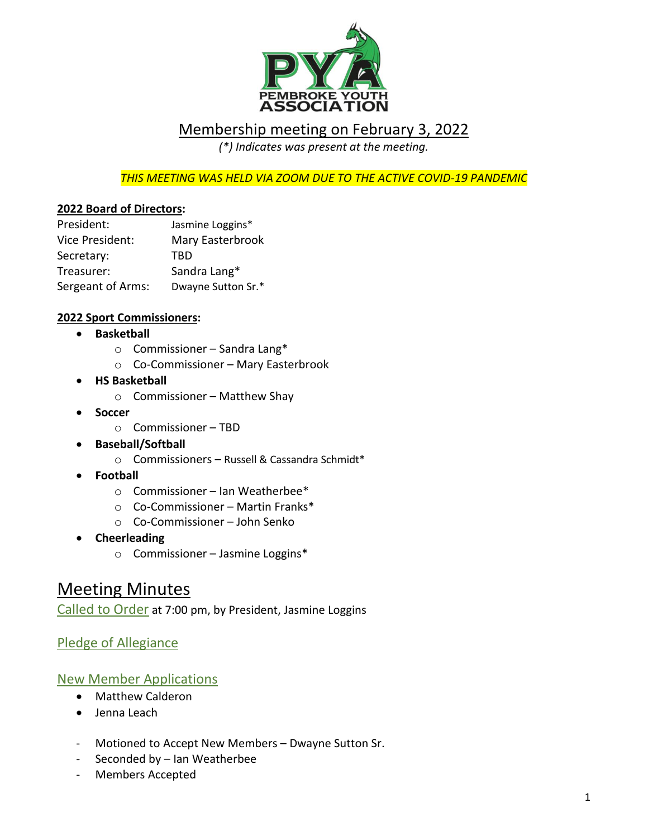

## Membership meeting on February 3, 2022

*(\*) Indicates was present at the meeting.*

*THIS MEETING WAS HELD VIA ZOOM DUE TO THE ACTIVE COVID-19 PANDEMIC*

#### **2022 Board of Directors:**

| President:        | Jasmine Loggins*   |
|-------------------|--------------------|
| Vice President:   | Mary Easterbrook   |
| Secretary:        | TRD                |
| Treasurer:        | Sandra Lang*       |
| Sergeant of Arms: | Dwayne Sutton Sr.* |

#### **2022 Sport Commissioners:**

- **Basketball**
	- o Commissioner Sandra Lang\*
	- o Co-Commissioner Mary Easterbrook
- **HS Basketball**
	- $\circ$  Commissioner Matthew Shay
- **Soccer** 
	- o Commissioner TBD
- **Baseball/Softball** 
	- o Commissioners Russell & Cassandra Schmidt\*
- **Football**
	- o Commissioner Ian Weatherbee\*
	- o Co-Commissioner Martin Franks\*
	- o Co-Commissioner John Senko
- **Cheerleading** 
	- o Commissioner Jasmine Loggins\*

## Meeting Minutes

Called to Order at 7:00 pm, by President, Jasmine Loggins

### Pledge of Allegiance

#### New Member Applications

- Matthew Calderon
- Jenna Leach
- Motioned to Accept New Members Dwayne Sutton Sr.
- Seconded by Ian Weatherbee
- Members Accepted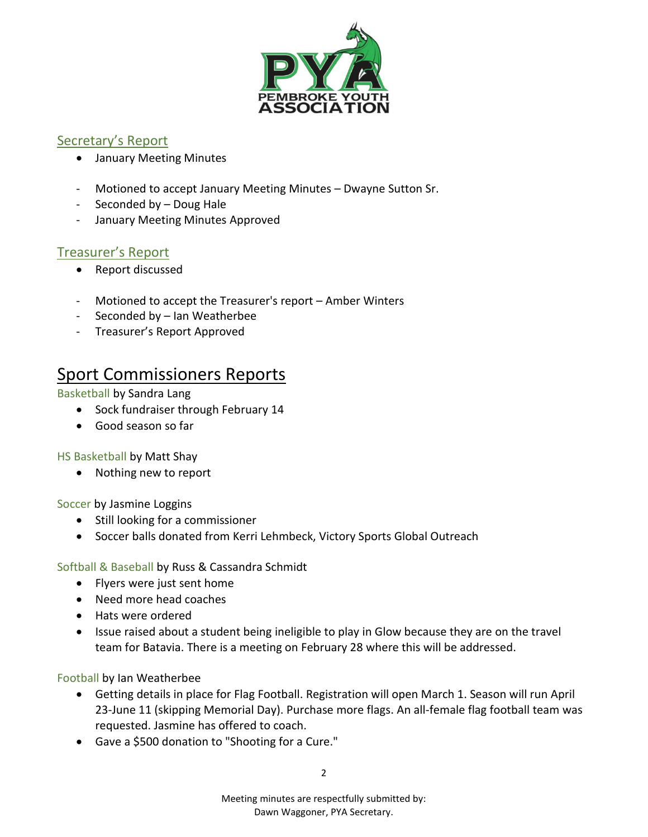

### Secretary's Report

- January Meeting Minutes
- Motioned to accept January Meeting Minutes Dwayne Sutton Sr.
- Seconded by Doug Hale
- January Meeting Minutes Approved

### Treasurer's Report

- Report discussed
- Motioned to accept the Treasurer's report Amber Winters
- Seconded by Ian Weatherbee
- Treasurer's Report Approved

# Sport Commissioners Reports

Basketball by Sandra Lang

- Sock fundraiser through February 14
- Good season so far

HS Basketball by Matt Shay

• Nothing new to report

Soccer by Jasmine Loggins

- Still looking for a commissioner
- Soccer balls donated from Kerri Lehmbeck, Victory Sports Global Outreach

Softball & Baseball by Russ & Cassandra Schmidt

- Flyers were just sent home
- Need more head coaches
- Hats were ordered
- Issue raised about a student being ineligible to play in Glow because they are on the travel team for Batavia. There is a meeting on February 28 where this will be addressed.

Football by Ian Weatherbee

- Getting details in place for Flag Football. Registration will open March 1. Season will run April 23-June 11 (skipping Memorial Day). Purchase more flags. An all-female flag football team was requested. Jasmine has offered to coach.
- Gave a \$500 donation to "Shooting for a Cure."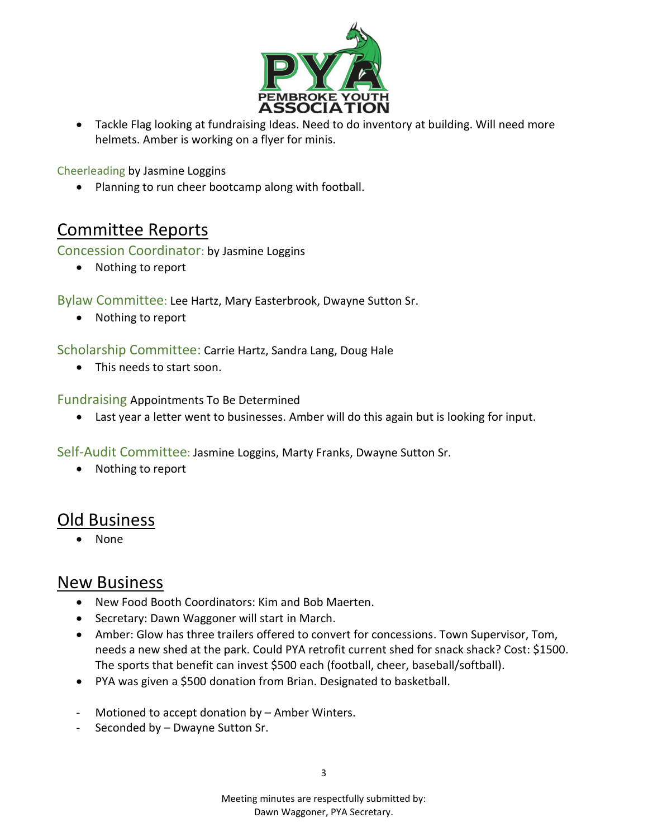

• Tackle Flag looking at fundraising Ideas. Need to do inventory at building. Will need more helmets. Amber is working on a flyer for minis.

Cheerleading by Jasmine Loggins

• Planning to run cheer bootcamp along with football.

## Committee Reports

Concession Coordinator: by Jasmine Loggins

• Nothing to report

Bylaw Committee: Lee Hartz, Mary Easterbrook, Dwayne Sutton Sr.

• Nothing to report

Scholarship Committee: Carrie Hartz, Sandra Lang, Doug Hale

• This needs to start soon.

Fundraising Appointments To Be Determined

• Last year a letter went to businesses. Amber will do this again but is looking for input.

Self-Audit Committee: Jasmine Loggins, Marty Franks, Dwayne Sutton Sr.

• Nothing to report

## Old Business

• None

## New Business

- New Food Booth Coordinators: Kim and Bob Maerten.
- Secretary: Dawn Waggoner will start in March.
- Amber: Glow has three trailers offered to convert for concessions. Town Supervisor, Tom, needs a new shed at the park. Could PYA retrofit current shed for snack shack? Cost: \$1500. The sports that benefit can invest \$500 each (football, cheer, baseball/softball).
- PYA was given a \$500 donation from Brian. Designated to basketball.
- Motioned to accept donation by Amber Winters.
- Seconded by Dwayne Sutton Sr.